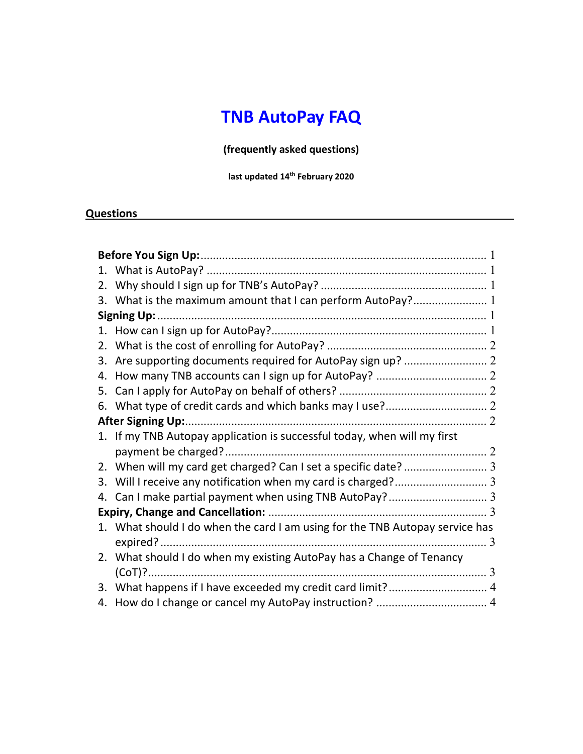# TNB AutoPay FAQ

(frequently asked questions)

last updated 14<sup>th</sup> February 2020

#### **Questions**

|    | 3. What is the maximum amount that I can perform AutoPay? 1                  |
|----|------------------------------------------------------------------------------|
|    |                                                                              |
|    |                                                                              |
|    |                                                                              |
| 3. |                                                                              |
| 4. |                                                                              |
| 5. |                                                                              |
| 6. |                                                                              |
|    |                                                                              |
|    | 1. If my TNB Autopay application is successful today, when will my first     |
|    |                                                                              |
|    |                                                                              |
| 3. |                                                                              |
|    |                                                                              |
|    |                                                                              |
|    | 1. What should I do when the card I am using for the TNB Autopay service has |
|    |                                                                              |
|    | 2. What should I do when my existing AutoPay has a Change of Tenancy         |
|    |                                                                              |
| 3. |                                                                              |
| 4. |                                                                              |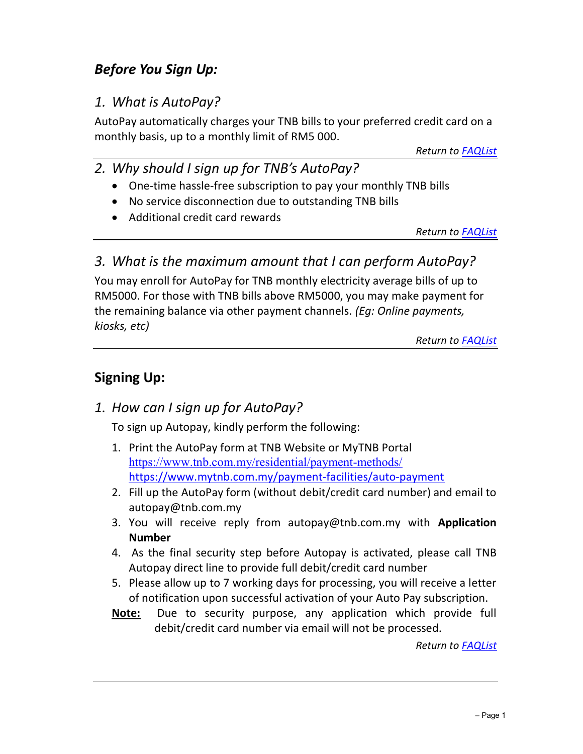### Before You Sign Up:

#### 1. What is AutoPay?

AutoPay automatically charges your TNB bills to your preferred credit card on a monthly basis, up to a monthly limit of RM5 000.

Return to **FAQList** 

- 2. Why should I sign up for TNB's AutoPay?
	- One-time hassle-free subscription to pay your monthly TNB bills
	- No service disconnection due to outstanding TNB bills
	- Additional credit card rewards

Return to FAQList

#### 3. What is the maximum amount that I can perform AutoPay?

You may enroll for AutoPay for TNB monthly electricity average bills of up to RM5000. For those with TNB bills above RM5000, you may make payment for the remaining balance via other payment channels. (Eg: Online payments, kiosks, etc)

Return to **FAQList** 

### Signing Up:

### 1. How can I sign up for AutoPay?

To sign up Autopay, kindly perform the following:

- 1. Print the AutoPay form at TNB Website or MyTNB Portal https://www.tnb.com.my/residential/payment-methods/ https://www.mytnb.com.my/payment-facilities/auto-payment
- 2. Fill up the AutoPay form (without debit/credit card number) and email to autopay@tnb.com.my
- 3. You will receive reply from autopay@tnb.com.my with Application Number
- 4. As the final security step before Autopay is activated, please call TNB Autopay direct line to provide full debit/credit card number
- 5. Please allow up to 7 working days for processing, you will receive a letter of notification upon successful activation of your Auto Pay subscription.
- Note: Due to security purpose, any application which provide full debit/credit card number via email will not be processed.

Return to FAQList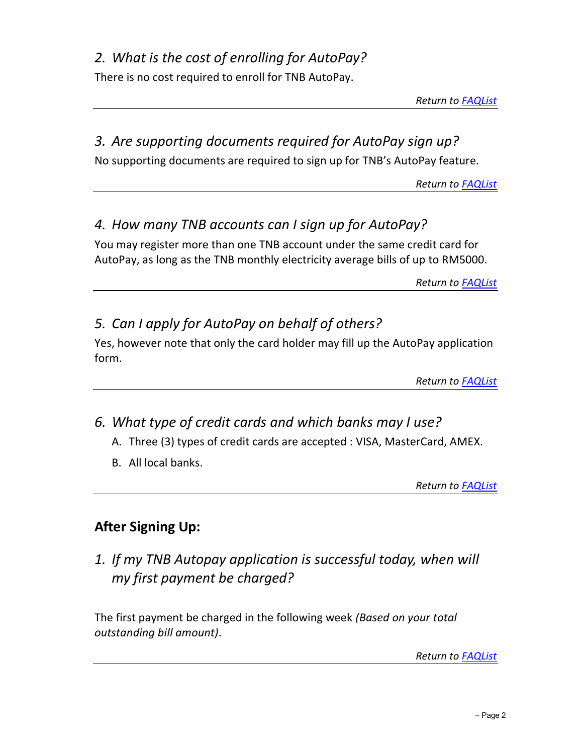## 2. What is the cost of enrolling for AutoPay?

There is no cost required to enroll for TNB AutoPay.

Return to FAQList

### 3. Are supporting documents required for AutoPay sign up?

No supporting documents are required to sign up for TNB's AutoPay feature.

Return to **FAQList** 

### 4. How many TNB accounts can I sign up for AutoPay?

You may register more than one TNB account under the same credit card for AutoPay, as long as the TNB monthly electricity average bills of up to RM5000.

Return to **FAQList** 

### 5. Can I apply for AutoPay on behalf of others?

Yes, however note that only the card holder may fill up the AutoPay application form.

Return to **FAQList** 

### 6. What type of credit cards and which banks may I use?

- A. Three (3) types of credit cards are accepted : VISA, MasterCard, AMEX.
- B. All local banks.

Return to FAQList

### After Signing Up:

1. If my TNB Autopay application is successful today, when will my first payment be charged?

The first payment be charged in the following week (Based on your total outstanding bill amount).

Return to **FAQList**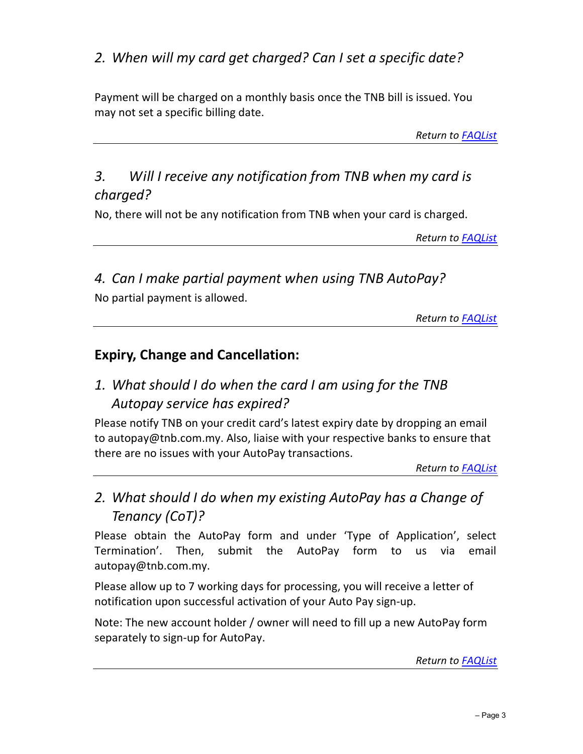### 2. When will my card get charged? Can I set a specific date?

Payment will be charged on a monthly basis once the TNB bill is issued. You may not set a specific billing date.

Return to **FAQList** 

### 3. Will I receive any notification from TNB when my card is charged?

No, there will not be any notification from TNB when your card is charged.

Return to FAQList

4. Can I make partial payment when using TNB AutoPay? No partial payment is allowed.

Return to FAQList

#### Expiry, Change and Cancellation:

### 1. What should I do when the card I am using for the TNB Autopay service has expired?

Please notify TNB on your credit card's latest expiry date by dropping an email to autopay@tnb.com.my. Also, liaise with your respective banks to ensure that there are no issues with your AutoPay transactions.

Return to FAQList

### 2. What should I do when my existing AutoPay has a Change of Tenancy (CoT)?

Please obtain the AutoPay form and under 'Type of Application', select Termination'. Then, submit the AutoPay form to us via email autopay@tnb.com.my.

Please allow up to 7 working days for processing, you will receive a letter of notification upon successful activation of your Auto Pay sign-up.

Note: The new account holder / owner will need to fill up a new AutoPay form separately to sign-up for AutoPay.

Return to FAQList